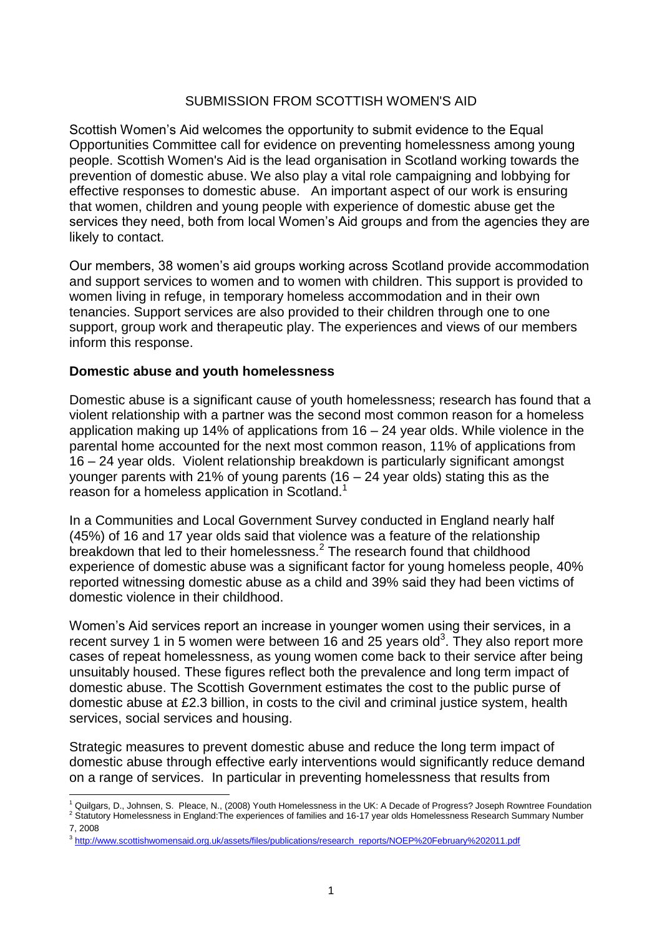### SUBMISSION FROM SCOTTISH WOMEN'S AID

Scottish Women's Aid welcomes the opportunity to submit evidence to the Equal Opportunities Committee call for evidence on preventing homelessness among young people. Scottish Women's Aid is the lead organisation in Scotland working towards the prevention of domestic abuse. We also play a vital role [campaigning and lobbying](http://www.scottishwomensaid.org.uk/influencing-and-campaigning) for effective responses to domestic abuse. An important aspect of our work is ensuring that women, children and young people with experience of domestic abuse get the services they need, both from local Women's Aid groups and from the agencies they are likely to contact.

Our members, 38 women's aid groups working across Scotland provide accommodation and support services to women and to women with children. This support is provided to women living in refuge, in temporary homeless accommodation and in their own tenancies. Support services are also provided to their children through one to one support, group work and therapeutic play. The experiences and views of our members inform this response.

#### **Domestic abuse and youth homelessness**

Domestic abuse is a significant cause of youth homelessness; research has found that a violent relationship with a partner was the second most common reason for a homeless application making up 14% of applications from 16 – 24 year olds. While violence in the parental home accounted for the next most common reason, 11% of applications from 16 – 24 year olds. Violent relationship breakdown is particularly significant amongst younger parents with 21% of young parents (16 – 24 year olds) stating this as the reason for a homeless application in Scotland.<sup>1</sup>

In a Communities and Local Government Survey conducted in England nearly half (45%) of 16 and 17 year olds said that violence was a feature of the relationship breakdown that led to their homelessness. $<sup>2</sup>$  The research found that childhood</sup> experience of domestic abuse was a significant factor for young homeless people, 40% reported witnessing domestic abuse as a child and 39% said they had been victims of domestic violence in their childhood.

Women's Aid services report an increase in younger women using their services, in a recent survey 1 in 5 women were between 16 and 25 years old<sup>3</sup>. They also report more cases of repeat homelessness, as young women come back to their service after being unsuitably housed. These figures reflect both the prevalence and long term impact of domestic abuse. The Scottish Government estimates the cost to the public purse of domestic abuse at £2.3 billion, in costs to the civil and criminal justice system, health services, social services and housing.

Strategic measures to prevent domestic abuse and reduce the long term impact of domestic abuse through effective early interventions would significantly reduce demand on a range of services. In particular in preventing homelessness that results from

l

Quilgars, D., Johnsen, S. Pleace, N., (2008) Youth Homelessness in the UK: A Decade of Progress? Joseph Rowntree Foundation <sup>2</sup> Statutory Homelessness in England: The experiences of families and 16-17 year olds Homelessness Research Summary Number

<sup>7, 2008</sup>

<sup>&</sup>lt;sup>3</sup>[http://www.scottishwomensaid.org.uk/assets/files/publications/research\\_reports/NOEP%20February%202011.pdf](http://www.scottishwomensaid.org.uk/assets/files/publications/research_reports/NOEP%20February%202011.pdf)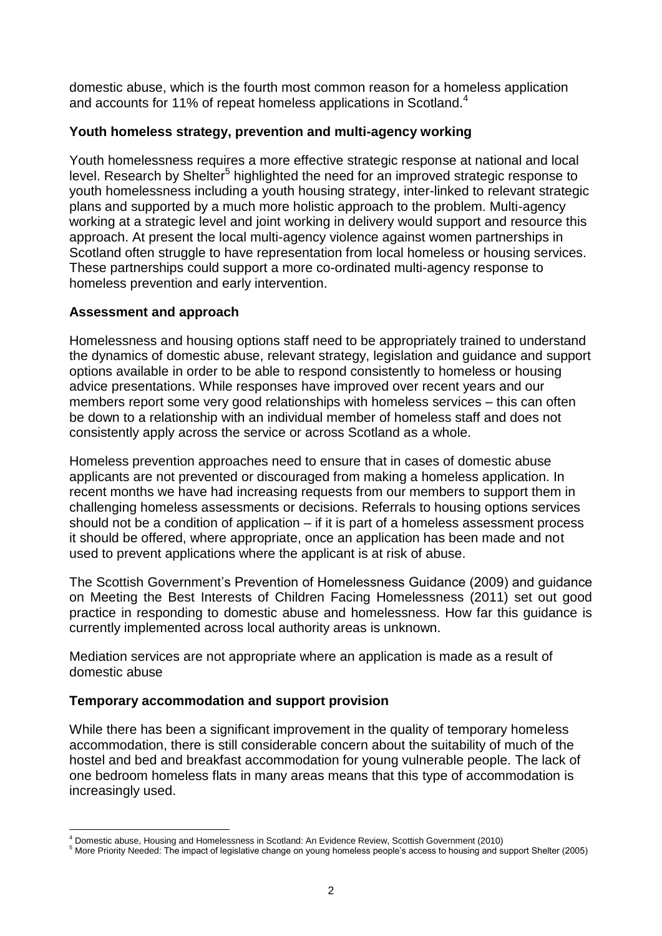domestic abuse, which is the fourth most common reason for a homeless application and accounts for 11% of repeat homeless applications in Scotland.<sup>4</sup>

## **Youth homeless strategy, prevention and multi-agency working**

Youth homelessness requires a more effective strategic response at national and local level. Research by Shelter<sup>5</sup> highlighted the need for an improved strategic response to youth homelessness including a youth housing strategy, inter-linked to relevant strategic plans and supported by a much more holistic approach to the problem. Multi-agency working at a strategic level and joint working in delivery would support and resource this approach. At present the local multi-agency violence against women partnerships in Scotland often struggle to have representation from local homeless or housing services. These partnerships could support a more co-ordinated multi-agency response to homeless prevention and early intervention.

### **Assessment and approach**

Homelessness and housing options staff need to be appropriately trained to understand the dynamics of domestic abuse, relevant strategy, legislation and guidance and support options available in order to be able to respond consistently to homeless or housing advice presentations. While responses have improved over recent years and our members report some very good relationships with homeless services – this can often be down to a relationship with an individual member of homeless staff and does not consistently apply across the service or across Scotland as a whole.

Homeless prevention approaches need to ensure that in cases of domestic abuse applicants are not prevented or discouraged from making a homeless application. In recent months we have had increasing requests from our members to support them in challenging homeless assessments or decisions. Referrals to housing options services should not be a condition of application – if it is part of a homeless assessment process it should be offered, where appropriate, once an application has been made and not used to prevent applications where the applicant is at risk of abuse.

The Scottish Government's Prevention of Homelessness Guidance (2009) and guidance on Meeting the Best Interests of Children Facing Homelessness (2011) set out good practice in responding to domestic abuse and homelessness. How far this guidance is currently implemented across local authority areas is unknown.

Mediation services are not appropriate where an application is made as a result of domestic abuse

#### **Temporary accommodation and support provision**

While there has been a significant improvement in the quality of temporary homeless accommodation, there is still considerable concern about the suitability of much of the hostel and bed and breakfast accommodation for young vulnerable people. The lack of one bedroom homeless flats in many areas means that this type of accommodation is increasingly used.

l <sup>4</sup> Domestic abuse, Housing and Homelessness in Scotland: An Evidence Review, Scottish Government (2010)

<sup>5</sup> More Priority Needed: The impact of legislative change on young homeless people's access to housing and support Shelter (2005)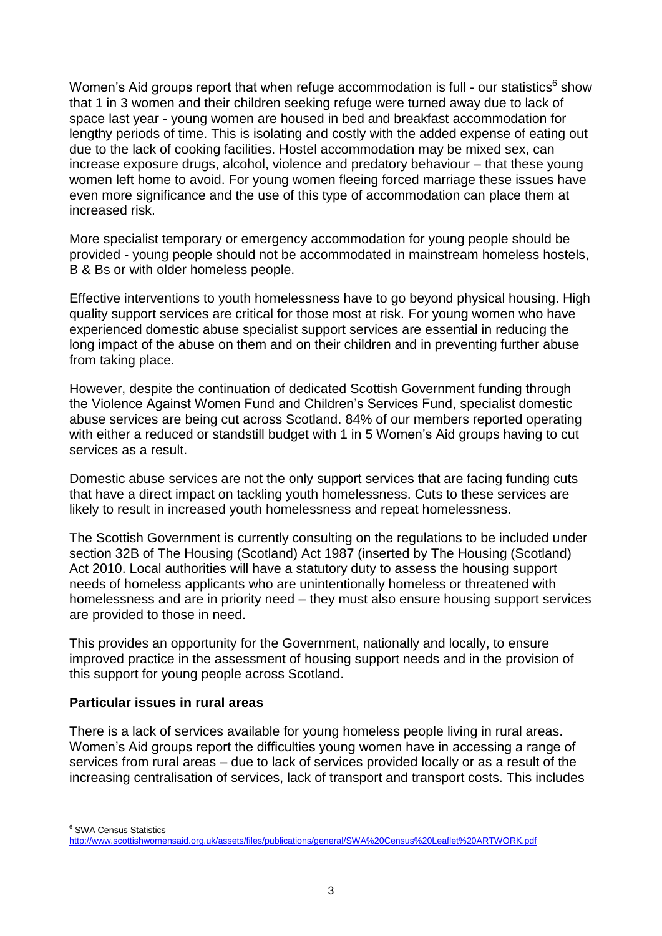Women's Aid groups report that when refuge accommodation is full - our statistics<sup>6</sup> show that 1 in 3 women and their children seeking refuge were turned away due to lack of space last year - young women are housed in bed and breakfast accommodation for lengthy periods of time. This is isolating and costly with the added expense of eating out due to the lack of cooking facilities. Hostel accommodation may be mixed sex, can increase exposure drugs, alcohol, violence and predatory behaviour – that these young women left home to avoid. For young women fleeing forced marriage these issues have even more significance and the use of this type of accommodation can place them at increased risk.

More specialist temporary or emergency accommodation for young people should be provided - young people should not be accommodated in mainstream homeless hostels, B & Bs or with older homeless people.

Effective interventions to youth homelessness have to go beyond physical housing. High quality support services are critical for those most at risk. For young women who have experienced domestic abuse specialist support services are essential in reducing the long impact of the abuse on them and on their children and in preventing further abuse from taking place.

However, despite the continuation of dedicated Scottish Government funding through the Violence Against Women Fund and Children's Services Fund, specialist domestic abuse services are being cut across Scotland. 84% of our members reported operating with either a reduced or standstill budget with 1 in 5 Women's Aid groups having to cut services as a result.

Domestic abuse services are not the only support services that are facing funding cuts that have a direct impact on tackling youth homelessness. Cuts to these services are likely to result in increased youth homelessness and repeat homelessness.

The Scottish Government is currently consulting on the regulations to be included under section 32B of The Housing (Scotland) Act 1987 (inserted by The Housing (Scotland) Act 2010. Local authorities will have a statutory duty to assess the housing support needs of homeless applicants who are unintentionally homeless or threatened with homelessness and are in priority need – they must also ensure housing support services are provided to those in need.

This provides an opportunity for the Government, nationally and locally, to ensure improved practice in the assessment of housing support needs and in the provision of this support for young people across Scotland.

#### **Particular issues in rural areas**

There is a lack of services available for young homeless people living in rural areas. Women's Aid groups report the difficulties young women have in accessing a range of services from rural areas – due to lack of services provided locally or as a result of the increasing centralisation of services, lack of transport and transport costs. This includes

l <sup>6</sup> SWA Census Statistics

<http://www.scottishwomensaid.org.uk/assets/files/publications/general/SWA%20Census%20Leaflet%20ARTWORK.pdf>